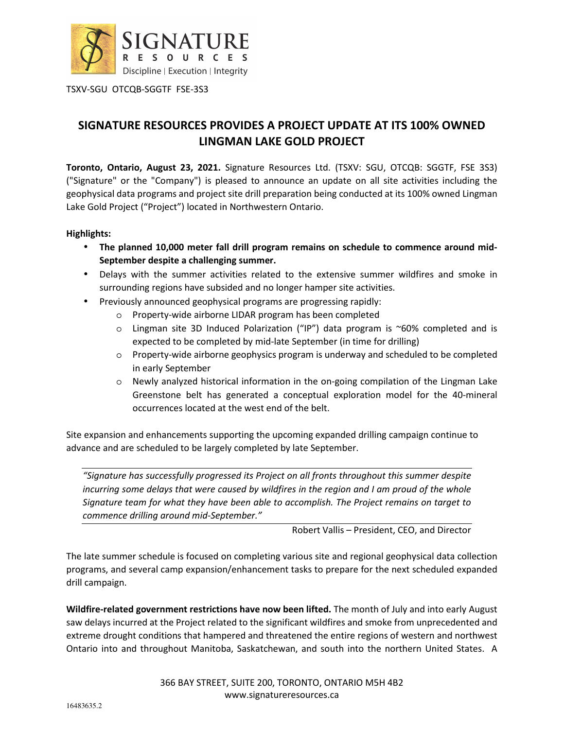

TSXV-SGU OTCQB-SGGTF FSE-3S3

# **SIGNATURE RESOURCES PROVIDES A PROJECT UPDATE AT ITS 100% OWNED LINGMAN LAKE GOLD PROJECT**

**Toronto, Ontario, August 23, 2021.** Signature Resources Ltd. (TSXV: SGU, OTCQB: SGGTF, FSE 3S3) ("Signature" or the "Company") is pleased to announce an update on all site activities including the geophysical data programs and project site drill preparation being conducted at its 100% owned Lingman Lake Gold Project ("Project") located in Northwestern Ontario.

## **Highlights:**

- **The planned 10,000 meter fall drill program remains on schedule to commence around mid-September despite a challenging summer.**
- Delays with the summer activities related to the extensive summer wildfires and smoke in surrounding regions have subsided and no longer hamper site activities.
- Previously announced geophysical programs are progressing rapidly:
	- o Property-wide airborne LIDAR program has been completed
	- o Lingman site 3D Induced Polarization ("IP") data program is ~60% completed and is expected to be completed by mid-late September (in time for drilling)
	- o Property-wide airborne geophysics program is underway and scheduled to be completed in early September
	- o Newly analyzed historical information in the on-going compilation of the Lingman Lake Greenstone belt has generated a conceptual exploration model for the 40-mineral occurrences located at the west end of the belt.

Site expansion and enhancements supporting the upcoming expanded drilling campaign continue to advance and are scheduled to be largely completed by late September.

*"Signature has successfully progressed its Project on all fronts throughout this summer despite incurring some delays that were caused by wildfires in the region and I am proud of the whole Signature team for what they have been able to accomplish. The Project remains on target to commence drilling around mid-September."* 

Robert Vallis – President, CEO, and Director

The late summer schedule is focused on completing various site and regional geophysical data collection programs, and several camp expansion/enhancement tasks to prepare for the next scheduled expanded drill campaign.

**Wildfire-related government restrictions have now been lifted.** The month of July and into early August saw delays incurred at the Project related to the significant wildfires and smoke from unprecedented and extreme drought conditions that hampered and threatened the entire regions of western and northwest Ontario into and throughout Manitoba, Saskatchewan, and south into the northern United States. A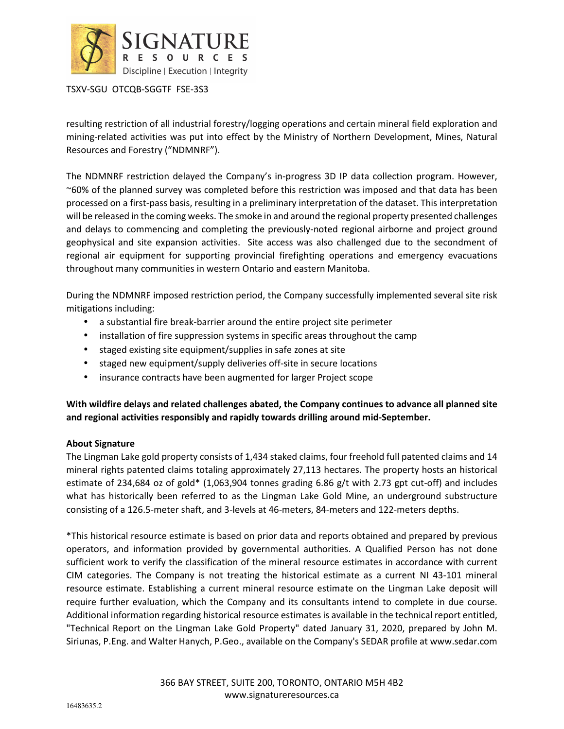

TSXV-SGU OTCQB-SGGTF FSE-3S3

resulting restriction of all industrial forestry/logging operations and certain mineral field exploration and mining-related activities was put into effect by the Ministry of Northern Development, Mines, Natural Resources and Forestry ("NDMNRF").

The NDMNRF restriction delayed the Company's in-progress 3D IP data collection program. However, ~60% of the planned survey was completed before this restriction was imposed and that data has been processed on a first-pass basis, resulting in a preliminary interpretation of the dataset. This interpretation will be released in the coming weeks. The smoke in and around the regional property presented challenges and delays to commencing and completing the previously-noted regional airborne and project ground geophysical and site expansion activities. Site access was also challenged due to the secondment of regional air equipment for supporting provincial firefighting operations and emergency evacuations throughout many communities in western Ontario and eastern Manitoba.

During the NDMNRF imposed restriction period, the Company successfully implemented several site risk mitigations including:

- a substantial fire break-barrier around the entire project site perimeter
- installation of fire suppression systems in specific areas throughout the camp
- staged existing site equipment/supplies in safe zones at site
- staged new equipment/supply deliveries off-site in secure locations
- insurance contracts have been augmented for larger Project scope

**With wildfire delays and related challenges abated, the Company continues to advance all planned site and regional activities responsibly and rapidly towards drilling around mid-September.** 

## **About Signature**

The Lingman Lake gold property consists of 1,434 staked claims, four freehold full patented claims and 14 mineral rights patented claims totaling approximately 27,113 hectares. The property hosts an historical estimate of 234,684 oz of gold\* (1,063,904 tonnes grading 6.86 g/t with 2.73 gpt cut-off) and includes what has historically been referred to as the Lingman Lake Gold Mine, an underground substructure consisting of a 126.5-meter shaft, and 3-levels at 46-meters, 84-meters and 122-meters depths.

\*This historical resource estimate is based on prior data and reports obtained and prepared by previous operators, and information provided by governmental authorities. A Qualified Person has not done sufficient work to verify the classification of the mineral resource estimates in accordance with current CIM categories. The Company is not treating the historical estimate as a current NI 43-101 mineral resource estimate. Establishing a current mineral resource estimate on the Lingman Lake deposit will require further evaluation, which the Company and its consultants intend to complete in due course. Additional information regarding historical resource estimates is available in the technical report entitled, "Technical Report on the Lingman Lake Gold Property" dated January 31, 2020, prepared by John M. Siriunas, P.Eng. and Walter Hanych, P.Geo., available on the Company's SEDAR profile at www.sedar.com